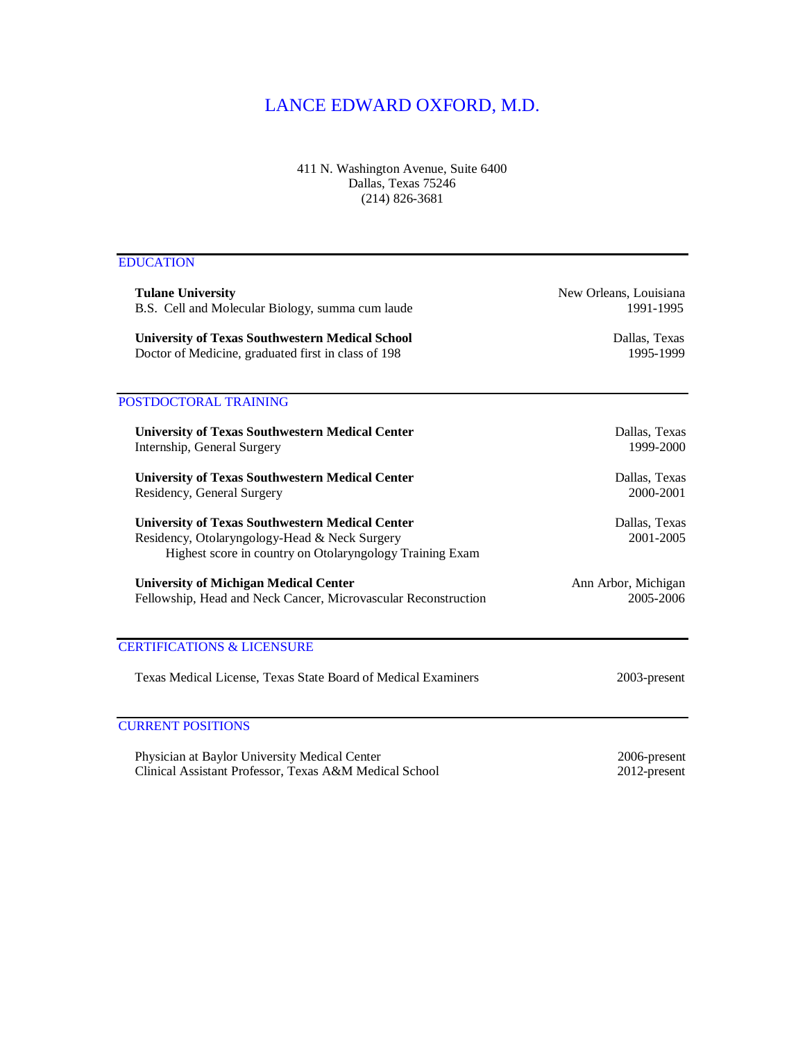## LANCE EDWARD OXFORD, M.D.

411 N. Washington Avenue, Suite 6400 Dallas, Texas 75246 (214) 826-3681

## EDUCATION

| <b>Tulane University</b><br>B.S. Cell and Molecular Biology, summa cum laude<br><b>University of Texas Southwestern Medical School</b><br>Doctor of Medicine, graduated first in class of 198 | New Orleans, Louisiana<br>1991-1995 |
|-----------------------------------------------------------------------------------------------------------------------------------------------------------------------------------------------|-------------------------------------|
|                                                                                                                                                                                               | Dallas, Texas<br>1995-1999          |
| POSTDOCTORAL TRAINING                                                                                                                                                                         |                                     |
| <b>University of Texas Southwestern Medical Center</b><br>Internship, General Surgery                                                                                                         | Dallas, Texas<br>1999-2000          |
| <b>University of Texas Southwestern Medical Center</b><br>Residency, General Surgery                                                                                                          | Dallas, Texas<br>2000-2001          |
| <b>University of Texas Southwestern Medical Center</b><br>Residency, Otolaryngology-Head & Neck Surgery<br>Highest score in country on Otolaryngology Training Exam                           | Dallas, Texas<br>2001-2005          |
| <b>University of Michigan Medical Center</b><br>Fellowship, Head and Neck Cancer, Microvascular Reconstruction                                                                                | Ann Arbor, Michigan<br>2005-2006    |
| <b>CERTIFICATIONS &amp; LICENSURE</b>                                                                                                                                                         |                                     |
| Texas Medical License, Texas State Board of Medical Examiners                                                                                                                                 | 2003-present                        |
| <b>CURRENT POSITIONS</b>                                                                                                                                                                      |                                     |

Physician at Baylor University Medical Center 2006-present<br>
Clinical Assistant Professor, Texas A&M Medical School 2012-present Clinical Assistant Professor, Texas A&M Medical School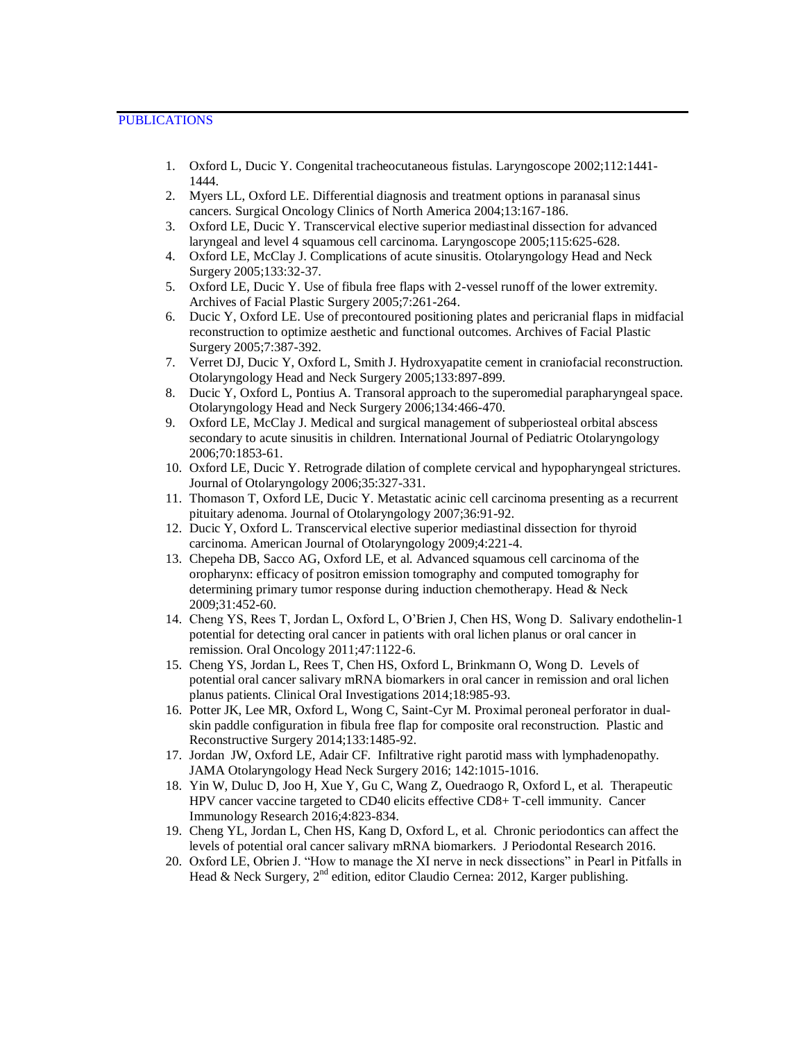- 1. Oxford L, Ducic Y. Congenital tracheocutaneous fistulas. Laryngoscope 2002;112:1441- 1444.
- 2. Myers LL, Oxford LE. Differential diagnosis and treatment options in paranasal sinus cancers. Surgical Oncology Clinics of North America 2004;13:167-186.
- 3. Oxford LE, Ducic Y. Transcervical elective superior mediastinal dissection for advanced laryngeal and level 4 squamous cell carcinoma. Laryngoscope 2005;115:625-628.
- 4. Oxford LE, McClay J. Complications of acute sinusitis. Otolaryngology Head and Neck Surgery 2005;133:32-37.
- 5. Oxford LE, Ducic Y. Use of fibula free flaps with 2-vessel runoff of the lower extremity. Archives of Facial Plastic Surgery 2005;7:261-264.
- 6. Ducic Y, Oxford LE. Use of precontoured positioning plates and pericranial flaps in midfacial reconstruction to optimize aesthetic and functional outcomes. Archives of Facial Plastic Surgery 2005;7:387-392.
- 7. Verret DJ, Ducic Y, Oxford L, Smith J. Hydroxyapatite cement in craniofacial reconstruction. Otolaryngology Head and Neck Surgery 2005;133:897-899.
- 8. Ducic Y, Oxford L, Pontius A. Transoral approach to the superomedial parapharyngeal space. Otolaryngology Head and Neck Surgery 2006;134:466-470.
- 9. Oxford LE, McClay J. Medical and surgical management of subperiosteal orbital abscess secondary to acute sinusitis in children. International Journal of Pediatric Otolaryngology 2006;70:1853-61.
- 10. Oxford LE, Ducic Y. Retrograde dilation of complete cervical and hypopharyngeal strictures. Journal of Otolaryngology 2006;35:327-331.
- 11. Thomason T, Oxford LE, Ducic Y. Metastatic acinic cell carcinoma presenting as a recurrent pituitary adenoma. Journal of Otolaryngology 2007;36:91-92.
- 12. Ducic Y, Oxford L. Transcervical elective superior mediastinal dissection for thyroid carcinoma. American Journal of Otolaryngology 2009;4:221-4.
- 13. Chepeha DB, Sacco AG, Oxford LE, et al. Advanced squamous cell carcinoma of the oropharynx: efficacy of positron emission tomography and computed tomography for determining primary tumor response during induction chemotherapy. Head & Neck 2009;31:452-60.
- 14. Cheng YS, Rees T, Jordan L, Oxford L, O'Brien J, Chen HS, Wong D. Salivary endothelin-1 potential for detecting oral cancer in patients with oral lichen planus or oral cancer in remission. Oral Oncology 2011;47:1122-6.
- 15. Cheng YS, Jordan L, Rees T, Chen HS, Oxford L, Brinkmann O, Wong D. Levels of potential oral cancer salivary mRNA biomarkers in oral cancer in remission and oral lichen planus patients. Clinical Oral Investigations 2014;18:985-93.
- 16. Potter JK, Lee MR, Oxford L, Wong C, Saint-Cyr M. Proximal peroneal perforator in dualskin paddle configuration in fibula free flap for composite oral reconstruction. Plastic and Reconstructive Surgery 2014;133:1485-92.
- 17. Jordan JW, Oxford LE, Adair CF. Infiltrative right parotid mass with lymphadenopathy. JAMA Otolaryngology Head Neck Surgery 2016; 142:1015-1016.
- 18. Yin W, Duluc D, Joo H, Xue Y, Gu C, Wang Z, Ouedraogo R, Oxford L, et al. Therapeutic HPV cancer vaccine targeted to CD40 elicits effective CD8+ T-cell immunity. Cancer Immunology Research 2016;4:823-834.
- 19. Cheng YL, Jordan L, Chen HS, Kang D, Oxford L, et al. Chronic periodontics can affect the levels of potential oral cancer salivary mRNA biomarkers. J Periodontal Research 2016.
- 20. Oxford LE, Obrien J. "How to manage the XI nerve in neck dissections" in Pearl in Pitfalls in Head & Neck Surgery,  $2<sup>nd</sup>$  edition, editor Claudio Cernea: 2012, Karger publishing.